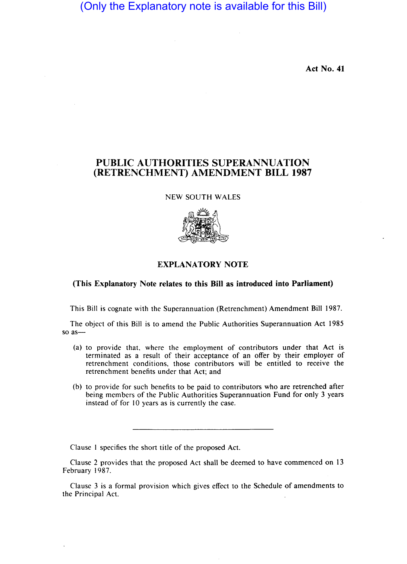(Only the Explanatory note is available for this Bill)

Act No. 41

## PUBLIC AUTHORITIES SUPERANNUATION (RETRENCHMENT) AMENDMENT BILL 1987

NEW SOUTH WALES



## EXPLANATORY NOTE

## (This Explanatory Note relates to this Bill as introduced into Parliament)

This Bill is cognate with the Superannuation (Retrenchment) Amendment Bill 1987.

The object of this BiII is to amend the Public Authorities Superannuation Act 1985 so as-

- (a) to provide that, where the employment of contributors under that Act is terminated as a result of their acceptance of an offer by their employer of retrenchment conditions, those contributors will be entitled to receive the retrenchment benefits under that Act; and
- (b) to provide for such benefits to be paid to contributors who are retrenched after being members of the Public Authorities Superannuation Fund for only 3 years instead of for 10 years as is currently the case.

Clause I specifies the short title of the proposed Act.

Clause 2 provides that the proposed Act shall be deemed to have commenced on 13 February 1987.

Clause 3 is a formal provision which gives effect to the Schedule of amendments to the Principal Act.